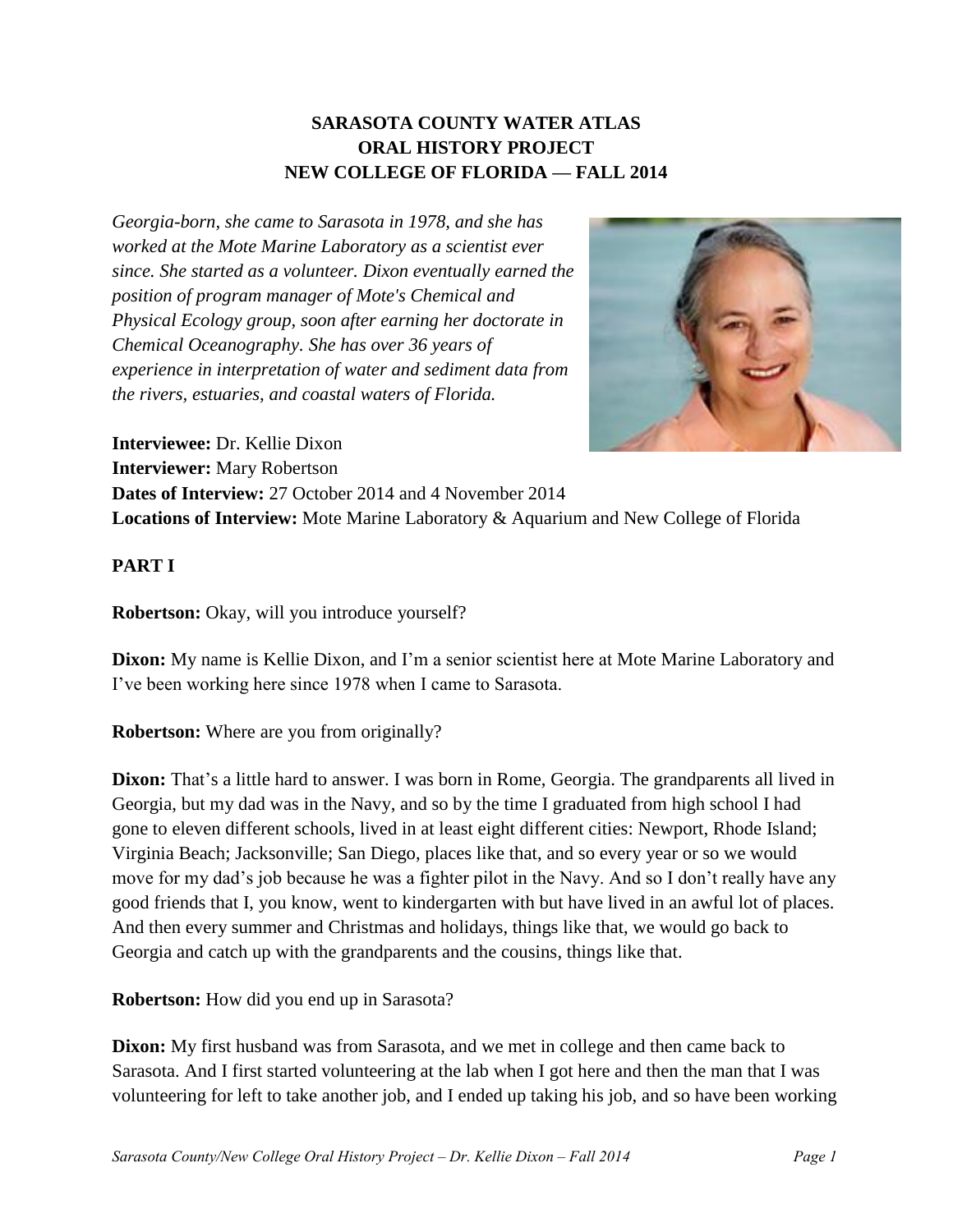# **SARASOTA COUNTY WATER ATLAS ORAL HISTORY PROJECT NEW COLLEGE OF FLORIDA — FALL 2014**

*Georgia-born, she came to Sarasota in 1978, and she has worked at the Mote Marine Laboratory as a scientist ever since. She started as a volunteer. Dixon eventually earned the position of program manager of Mote's Chemical and Physical Ecology group, soon after earning her doctorate in Chemical Oceanography. She has over 36 years of experience in interpretation of water and sediment data from the rivers, estuaries, and coastal waters of Florida.*



**Interviewee:** Dr. Kellie Dixon **Interviewer:** Mary Robertson **Dates of Interview:** 27 October 2014 and 4 November 2014 **Locations of Interview:** Mote Marine Laboratory & Aquarium and New College of Florida

# **PART I**

**Robertson:** Okay, will you introduce yourself?

**Dixon:** My name is Kellie Dixon, and I'm a senior scientist here at Mote Marine Laboratory and I've been working here since 1978 when I came to Sarasota.

**Robertson:** Where are you from originally?

**Dixon:** That's a little hard to answer. I was born in Rome, Georgia. The grandparents all lived in Georgia, but my dad was in the Navy, and so by the time I graduated from high school I had gone to eleven different schools, lived in at least eight different cities: Newport, Rhode Island; Virginia Beach; Jacksonville; San Diego, places like that, and so every year or so we would move for my dad's job because he was a fighter pilot in the Navy. And so I don't really have any good friends that I, you know, went to kindergarten with but have lived in an awful lot of places. And then every summer and Christmas and holidays, things like that, we would go back to Georgia and catch up with the grandparents and the cousins, things like that.

**Robertson:** How did you end up in Sarasota?

**Dixon:** My first husband was from Sarasota, and we met in college and then came back to Sarasota. And I first started volunteering at the lab when I got here and then the man that I was volunteering for left to take another job, and I ended up taking his job, and so have been working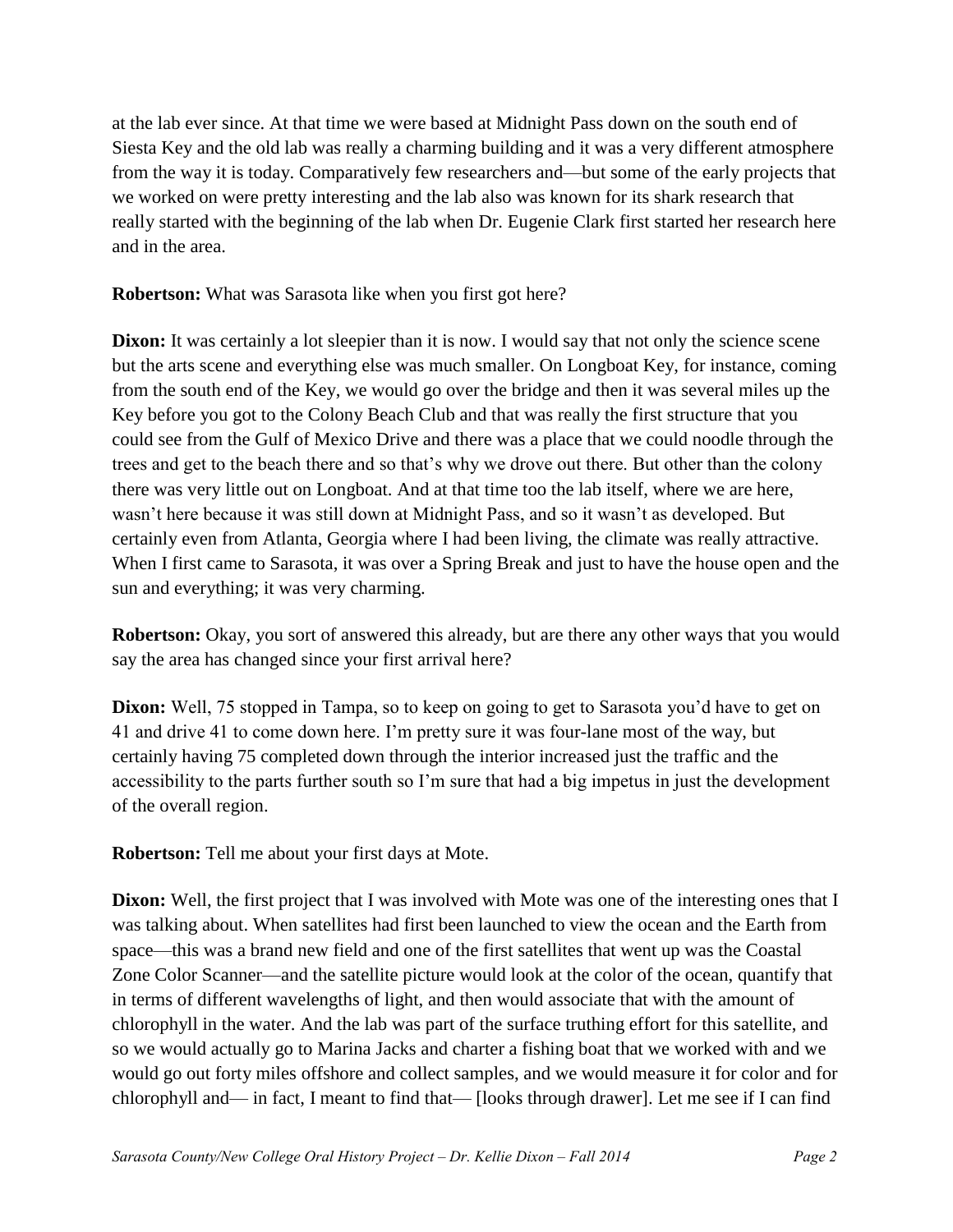at the lab ever since. At that time we were based at Midnight Pass down on the south end of Siesta Key and the old lab was really a charming building and it was a very different atmosphere from the way it is today. Comparatively few researchers and—but some of the early projects that we worked on were pretty interesting and the lab also was known for its shark research that really started with the beginning of the lab when Dr. Eugenie Clark first started her research here and in the area.

**Robertson:** What was Sarasota like when you first got here?

**Dixon:** It was certainly a lot sleepier than it is now. I would say that not only the science scene but the arts scene and everything else was much smaller. On Longboat Key, for instance, coming from the south end of the Key, we would go over the bridge and then it was several miles up the Key before you got to the Colony Beach Club and that was really the first structure that you could see from the Gulf of Mexico Drive and there was a place that we could noodle through the trees and get to the beach there and so that's why we drove out there. But other than the colony there was very little out on Longboat. And at that time too the lab itself, where we are here, wasn't here because it was still down at Midnight Pass, and so it wasn't as developed. But certainly even from Atlanta, Georgia where I had been living, the climate was really attractive. When I first came to Sarasota, it was over a Spring Break and just to have the house open and the sun and everything; it was very charming.

**Robertson:** Okay, you sort of answered this already, but are there any other ways that you would say the area has changed since your first arrival here?

**Dixon:** Well, 75 stopped in Tampa, so to keep on going to get to Sarasota you'd have to get on 41 and drive 41 to come down here. I'm pretty sure it was four-lane most of the way, but certainly having 75 completed down through the interior increased just the traffic and the accessibility to the parts further south so I'm sure that had a big impetus in just the development of the overall region.

**Robertson:** Tell me about your first days at Mote.

**Dixon:** Well, the first project that I was involved with Mote was one of the interesting ones that I was talking about. When satellites had first been launched to view the ocean and the Earth from space—this was a brand new field and one of the first satellites that went up was the Coastal Zone Color Scanner—and the satellite picture would look at the color of the ocean, quantify that in terms of different wavelengths of light, and then would associate that with the amount of chlorophyll in the water. And the lab was part of the surface truthing effort for this satellite, and so we would actually go to Marina Jacks and charter a fishing boat that we worked with and we would go out forty miles offshore and collect samples, and we would measure it for color and for chlorophyll and— in fact, I meant to find that— [looks through drawer]. Let me see if I can find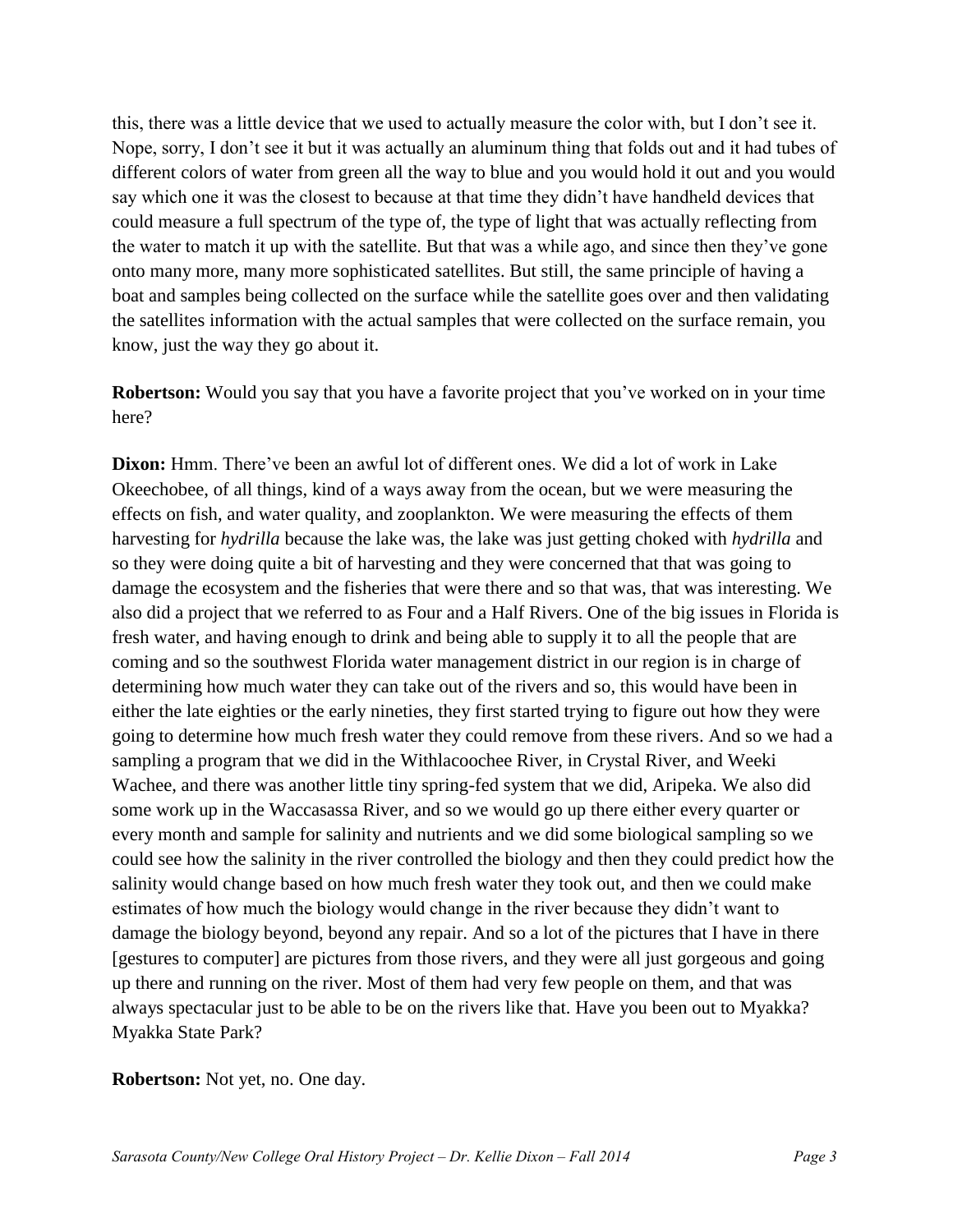this, there was a little device that we used to actually measure the color with, but I don't see it. Nope, sorry, I don't see it but it was actually an aluminum thing that folds out and it had tubes of different colors of water from green all the way to blue and you would hold it out and you would say which one it was the closest to because at that time they didn't have handheld devices that could measure a full spectrum of the type of, the type of light that was actually reflecting from the water to match it up with the satellite. But that was a while ago, and since then they've gone onto many more, many more sophisticated satellites. But still, the same principle of having a boat and samples being collected on the surface while the satellite goes over and then validating the satellites information with the actual samples that were collected on the surface remain, you know, just the way they go about it.

**Robertson:** Would you say that you have a favorite project that you've worked on in your time here?

**Dixon:** Hmm. There've been an awful lot of different ones. We did a lot of work in Lake Okeechobee, of all things, kind of a ways away from the ocean, but we were measuring the effects on fish, and water quality, and zooplankton. We were measuring the effects of them harvesting for *hydrilla* because the lake was, the lake was just getting choked with *hydrilla* and so they were doing quite a bit of harvesting and they were concerned that that was going to damage the ecosystem and the fisheries that were there and so that was, that was interesting. We also did a project that we referred to as Four and a Half Rivers. One of the big issues in Florida is fresh water, and having enough to drink and being able to supply it to all the people that are coming and so the southwest Florida water management district in our region is in charge of determining how much water they can take out of the rivers and so, this would have been in either the late eighties or the early nineties, they first started trying to figure out how they were going to determine how much fresh water they could remove from these rivers. And so we had a sampling a program that we did in the Withlacoochee River, in Crystal River, and Weeki Wachee, and there was another little tiny spring-fed system that we did, Aripeka. We also did some work up in the Waccasassa River, and so we would go up there either every quarter or every month and sample for salinity and nutrients and we did some biological sampling so we could see how the salinity in the river controlled the biology and then they could predict how the salinity would change based on how much fresh water they took out, and then we could make estimates of how much the biology would change in the river because they didn't want to damage the biology beyond, beyond any repair. And so a lot of the pictures that I have in there [gestures to computer] are pictures from those rivers, and they were all just gorgeous and going up there and running on the river. Most of them had very few people on them, and that was always spectacular just to be able to be on the rivers like that. Have you been out to Myakka? Myakka State Park?

**Robertson:** Not yet, no. One day.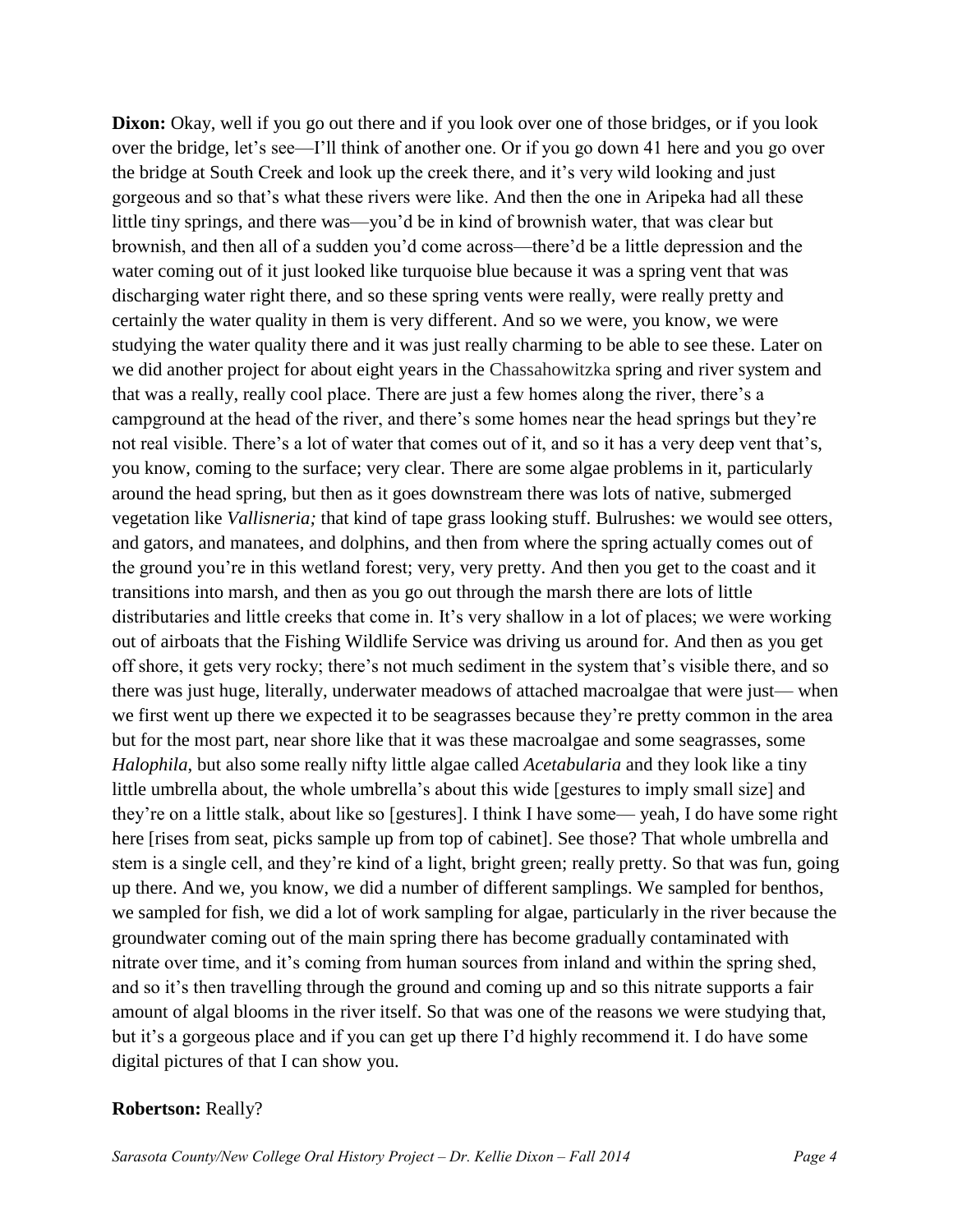**Dixon:** Okay, well if you go out there and if you look over one of those bridges, or if you look over the bridge, let's see—I'll think of another one. Or if you go down 41 here and you go over the bridge at South Creek and look up the creek there, and it's very wild looking and just gorgeous and so that's what these rivers were like. And then the one in Aripeka had all these little tiny springs, and there was—you'd be in kind of brownish water, that was clear but brownish, and then all of a sudden you'd come across—there'd be a little depression and the water coming out of it just looked like turquoise blue because it was a spring vent that was discharging water right there, and so these spring vents were really, were really pretty and certainly the water quality in them is very different. And so we were, you know, we were studying the water quality there and it was just really charming to be able to see these. Later on we did another project for about eight years in the Chassahowitzka spring and river system and that was a really, really cool place. There are just a few homes along the river, there's a campground at the head of the river, and there's some homes near the head springs but they're not real visible. There's a lot of water that comes out of it, and so it has a very deep vent that's, you know, coming to the surface; very clear. There are some algae problems in it, particularly around the head spring, but then as it goes downstream there was lots of native, submerged vegetation like *Vallisneria;* that kind of tape grass looking stuff. Bulrushes: we would see otters, and gators, and manatees, and dolphins, and then from where the spring actually comes out of the ground you're in this wetland forest; very, very pretty. And then you get to the coast and it transitions into marsh, and then as you go out through the marsh there are lots of little distributaries and little creeks that come in. It's very shallow in a lot of places; we were working out of airboats that the Fishing Wildlife Service was driving us around for. And then as you get off shore, it gets very rocky; there's not much sediment in the system that's visible there, and so there was just huge, literally, underwater meadows of attached macroalgae that were just— when we first went up there we expected it to be seagrasses because they're pretty common in the area but for the most part, near shore like that it was these macroalgae and some seagrasses, some *Halophila*, but also some really nifty little algae called *Acetabularia* and they look like a tiny little umbrella about, the whole umbrella's about this wide [gestures to imply small size] and they're on a little stalk, about like so [gestures]. I think I have some— yeah, I do have some right here [rises from seat, picks sample up from top of cabinet]. See those? That whole umbrella and stem is a single cell, and they're kind of a light, bright green; really pretty. So that was fun, going up there. And we, you know, we did a number of different samplings. We sampled for benthos, we sampled for fish, we did a lot of work sampling for algae, particularly in the river because the groundwater coming out of the main spring there has become gradually contaminated with nitrate over time, and it's coming from human sources from inland and within the spring shed, and so it's then travelling through the ground and coming up and so this nitrate supports a fair amount of algal blooms in the river itself. So that was one of the reasons we were studying that, but it's a gorgeous place and if you can get up there I'd highly recommend it. I do have some digital pictures of that I can show you.

#### **Robertson:** Really?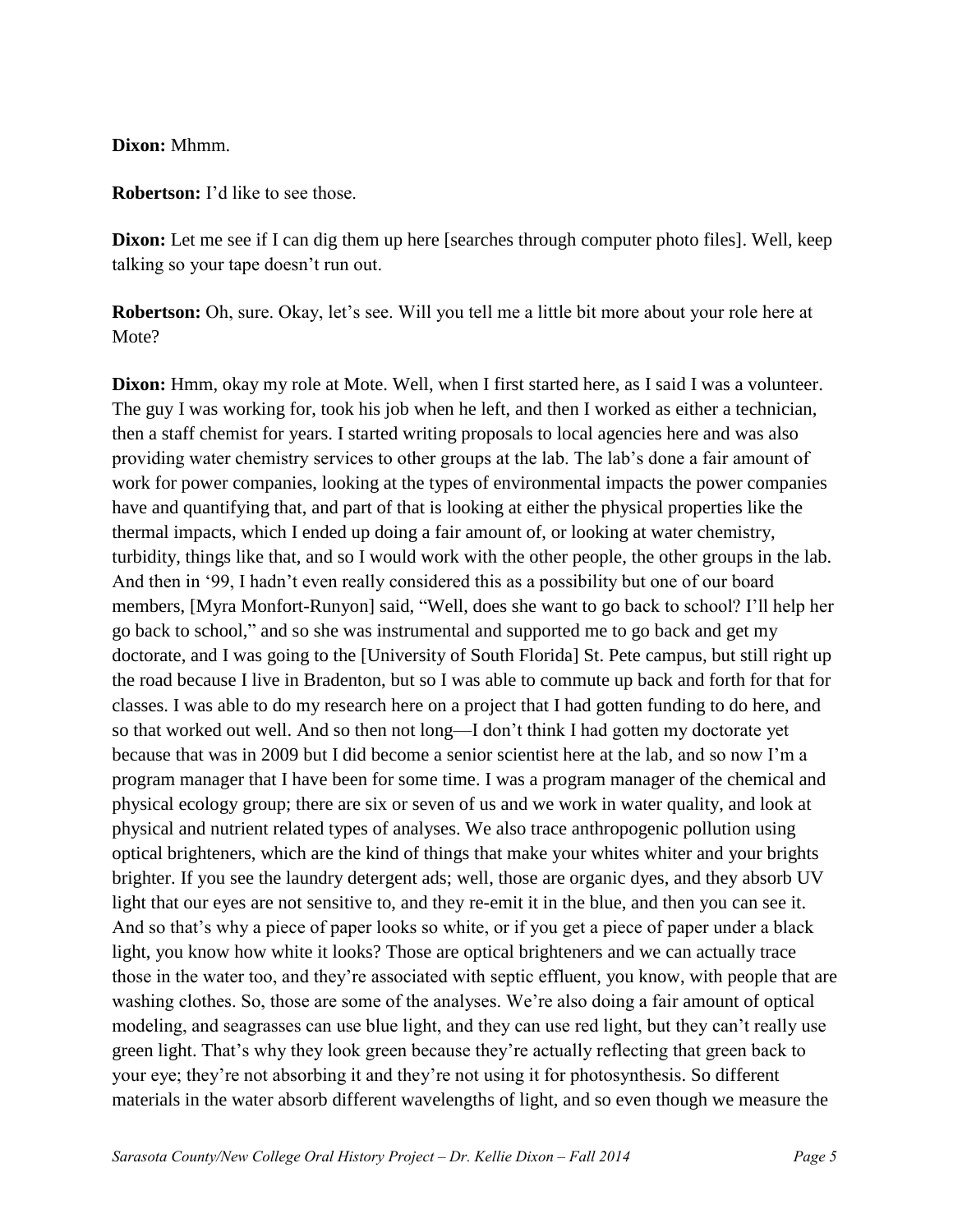### **Dixon:** Mhmm.

**Robertson:** I'd like to see those.

**Dixon:** Let me see if I can dig them up here [searches through computer photo files]. Well, keep talking so your tape doesn't run out.

**Robertson:** Oh, sure. Okay, let's see. Will you tell me a little bit more about your role here at Mote?

**Dixon:** Hmm, okay my role at Mote. Well, when I first started here, as I said I was a volunteer. The guy I was working for, took his job when he left, and then I worked as either a technician, then a staff chemist for years. I started writing proposals to local agencies here and was also providing water chemistry services to other groups at the lab. The lab's done a fair amount of work for power companies, looking at the types of environmental impacts the power companies have and quantifying that, and part of that is looking at either the physical properties like the thermal impacts, which I ended up doing a fair amount of, or looking at water chemistry, turbidity, things like that, and so I would work with the other people, the other groups in the lab. And then in '99, I hadn't even really considered this as a possibility but one of our board members, [Myra Monfort-Runyon] said, "Well, does she want to go back to school? I'll help her go back to school," and so she was instrumental and supported me to go back and get my doctorate, and I was going to the [University of South Florida] St. Pete campus, but still right up the road because I live in Bradenton, but so I was able to commute up back and forth for that for classes. I was able to do my research here on a project that I had gotten funding to do here, and so that worked out well. And so then not long—I don't think I had gotten my doctorate yet because that was in 2009 but I did become a senior scientist here at the lab, and so now I'm a program manager that I have been for some time. I was a program manager of the chemical and physical ecology group; there are six or seven of us and we work in water quality, and look at physical and nutrient related types of analyses. We also trace anthropogenic pollution using optical brighteners, which are the kind of things that make your whites whiter and your brights brighter. If you see the laundry detergent ads; well, those are organic dyes, and they absorb UV light that our eyes are not sensitive to, and they re-emit it in the blue, and then you can see it. And so that's why a piece of paper looks so white, or if you get a piece of paper under a black light, you know how white it looks? Those are optical brighteners and we can actually trace those in the water too, and they're associated with septic effluent, you know, with people that are washing clothes. So, those are some of the analyses. We're also doing a fair amount of optical modeling, and seagrasses can use blue light, and they can use red light, but they can't really use green light. That's why they look green because they're actually reflecting that green back to your eye; they're not absorbing it and they're not using it for photosynthesis. So different materials in the water absorb different wavelengths of light, and so even though we measure the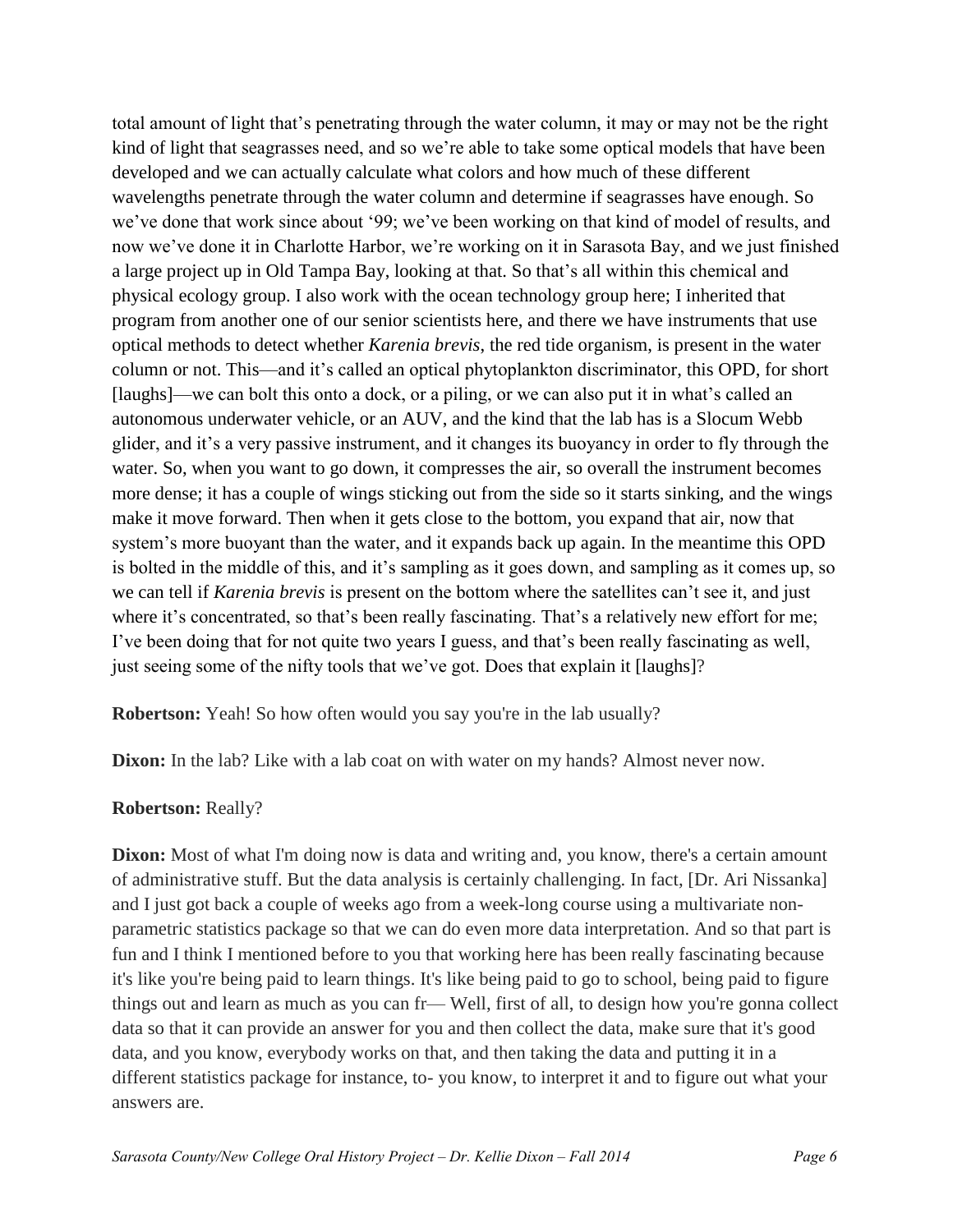total amount of light that's penetrating through the water column, it may or may not be the right kind of light that seagrasses need, and so we're able to take some optical models that have been developed and we can actually calculate what colors and how much of these different wavelengths penetrate through the water column and determine if seagrasses have enough. So we've done that work since about '99; we've been working on that kind of model of results, and now we've done it in Charlotte Harbor, we're working on it in Sarasota Bay, and we just finished a large project up in Old Tampa Bay, looking at that. So that's all within this chemical and physical ecology group. I also work with the ocean technology group here; I inherited that program from another one of our senior scientists here, and there we have instruments that use optical methods to detect whether *Karenia brevis*, the red tide organism, is present in the water column or not. This—and it's called an optical phytoplankton discriminator, this OPD, for short [laughs]—we can bolt this onto a dock, or a piling, or we can also put it in what's called an autonomous underwater vehicle, or an AUV, and the kind that the lab has is a Slocum Webb glider, and it's a very passive instrument, and it changes its buoyancy in order to fly through the water. So, when you want to go down, it compresses the air, so overall the instrument becomes more dense; it has a couple of wings sticking out from the side so it starts sinking, and the wings make it move forward. Then when it gets close to the bottom, you expand that air, now that system's more buoyant than the water, and it expands back up again. In the meantime this OPD is bolted in the middle of this, and it's sampling as it goes down, and sampling as it comes up, so we can tell if *Karenia brevis* is present on the bottom where the satellites can't see it, and just where it's concentrated, so that's been really fascinating. That's a relatively new effort for me; I've been doing that for not quite two years I guess, and that's been really fascinating as well, just seeing some of the nifty tools that we've got. Does that explain it [laughs]?

**Robertson:** Yeah! So how often would you say you're in the lab usually?

**Dixon:** In the lab? Like with a lab coat on with water on my hands? Almost never now.

# **Robertson:** Really?

**Dixon:** Most of what I'm doing now is data and writing and, you know, there's a certain amount of administrative stuff. But the data analysis is certainly challenging. In fact, [Dr. Ari Nissanka] and I just got back a couple of weeks ago from a week-long course using a multivariate nonparametric statistics package so that we can do even more data interpretation. And so that part is fun and I think I mentioned before to you that working here has been really fascinating because it's like you're being paid to learn things. It's like being paid to go to school, being paid to figure things out and learn as much as you can fr— Well, first of all, to design how you're gonna collect data so that it can provide an answer for you and then collect the data, make sure that it's good data, and you know, everybody works on that, and then taking the data and putting it in a different statistics package for instance, to- you know, to interpret it and to figure out what your answers are.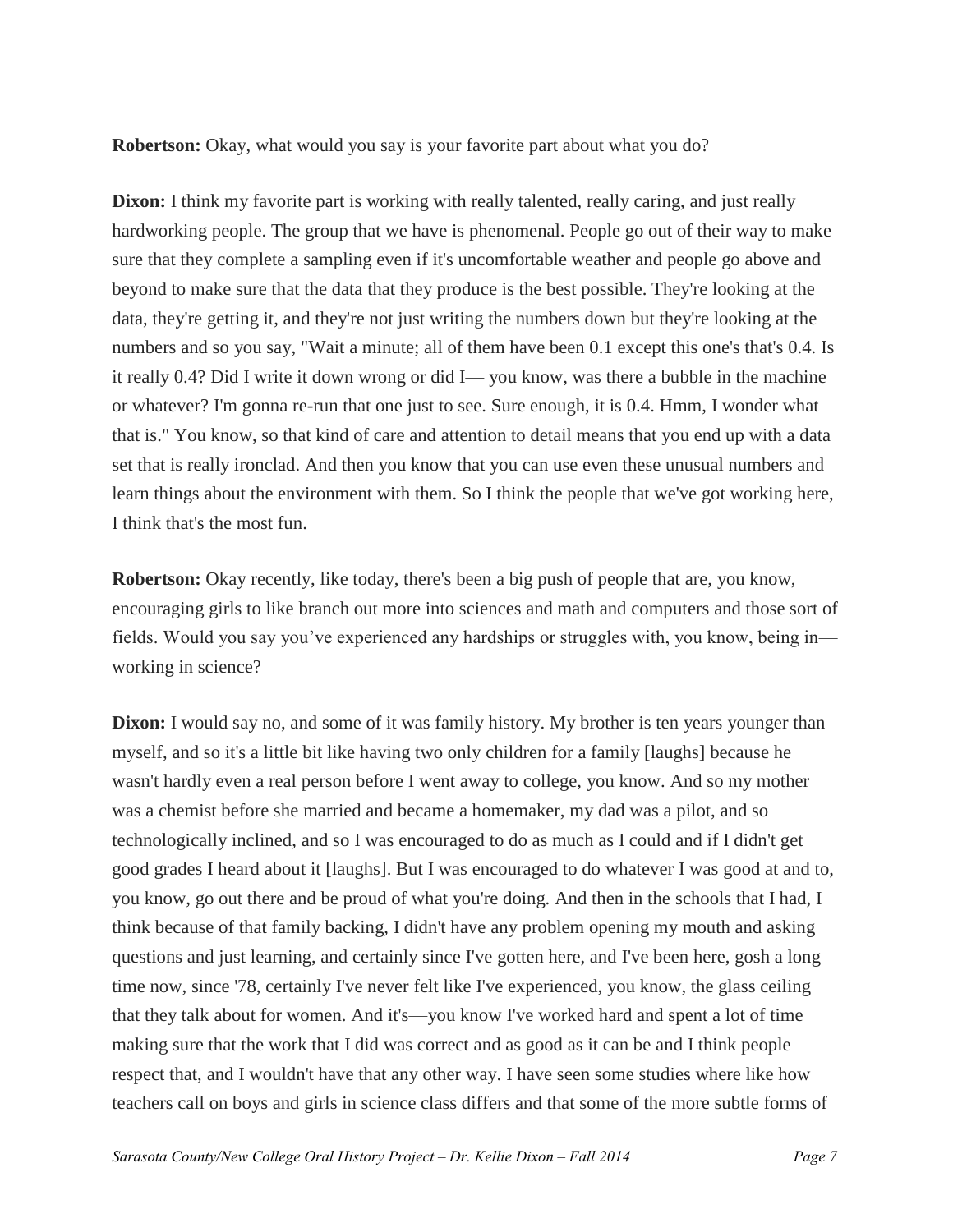**Robertson:** Okay, what would you say is your favorite part about what you do?

**Dixon:** I think my favorite part is working with really talented, really caring, and just really hardworking people. The group that we have is phenomenal. People go out of their way to make sure that they complete a sampling even if it's uncomfortable weather and people go above and beyond to make sure that the data that they produce is the best possible. They're looking at the data, they're getting it, and they're not just writing the numbers down but they're looking at the numbers and so you say, "Wait a minute; all of them have been 0.1 except this one's that's 0.4. Is it really 0.4? Did I write it down wrong or did I— you know, was there a bubble in the machine or whatever? I'm gonna re-run that one just to see. Sure enough, it is 0.4. Hmm, I wonder what that is." You know, so that kind of care and attention to detail means that you end up with a data set that is really ironclad. And then you know that you can use even these unusual numbers and learn things about the environment with them. So I think the people that we've got working here, I think that's the most fun.

**Robertson:** Okay recently, like today, there's been a big push of people that are, you know, encouraging girls to like branch out more into sciences and math and computers and those sort of fields. Would you say you've experienced any hardships or struggles with, you know, being in working in science?

**Dixon:** I would say no, and some of it was family history. My brother is ten years younger than myself, and so it's a little bit like having two only children for a family [laughs] because he wasn't hardly even a real person before I went away to college, you know. And so my mother was a chemist before she married and became a homemaker, my dad was a pilot, and so technologically inclined, and so I was encouraged to do as much as I could and if I didn't get good grades I heard about it [laughs]. But I was encouraged to do whatever I was good at and to, you know, go out there and be proud of what you're doing. And then in the schools that I had, I think because of that family backing, I didn't have any problem opening my mouth and asking questions and just learning, and certainly since I've gotten here, and I've been here, gosh a long time now, since '78, certainly I've never felt like I've experienced, you know, the glass ceiling that they talk about for women. And it's—you know I've worked hard and spent a lot of time making sure that the work that I did was correct and as good as it can be and I think people respect that, and I wouldn't have that any other way. I have seen some studies where like how teachers call on boys and girls in science class differs and that some of the more subtle forms of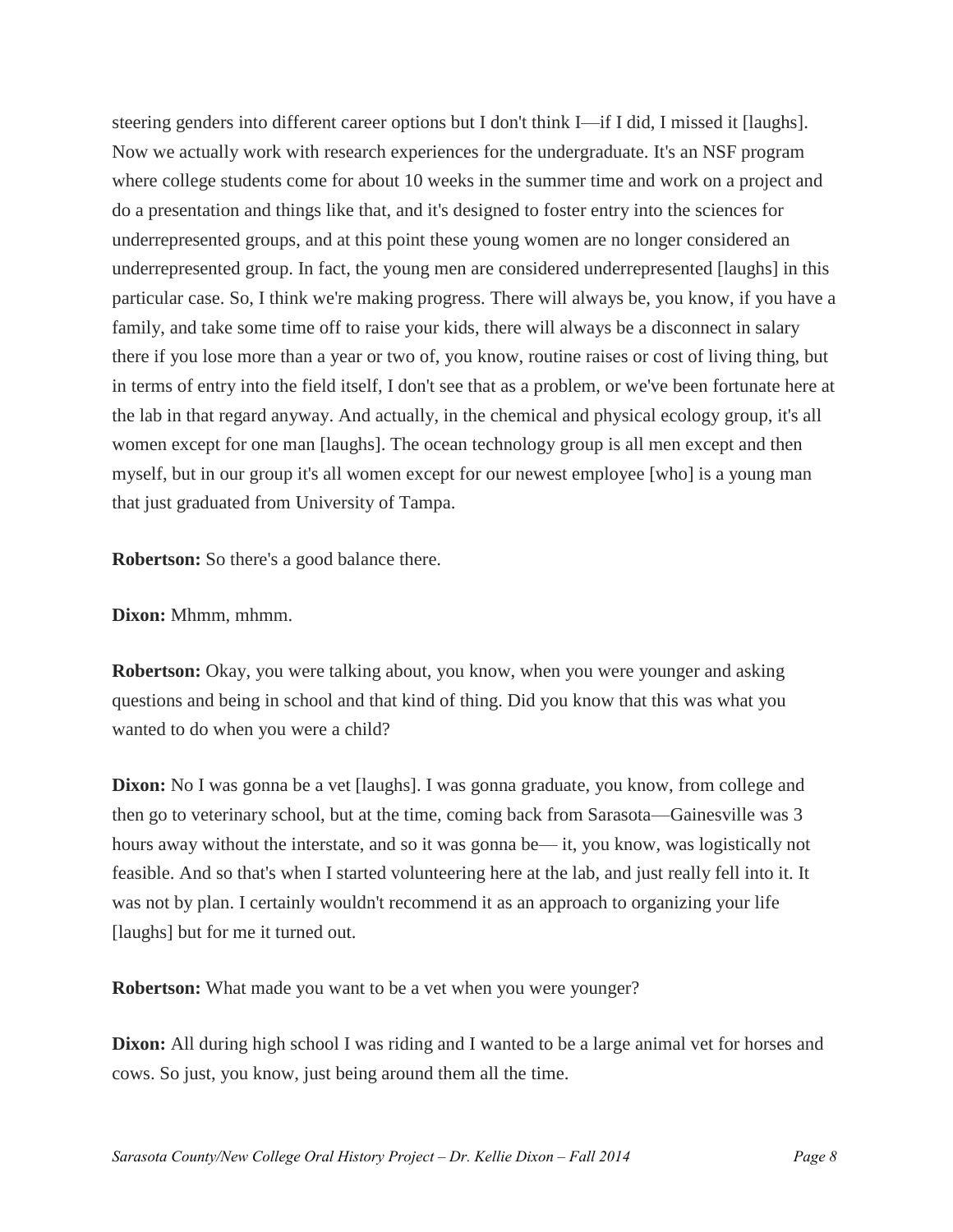steering genders into different career options but I don't think I—if I did, I missed it [laughs]. Now we actually work with research experiences for the undergraduate. It's an NSF program where college students come for about 10 weeks in the summer time and work on a project and do a presentation and things like that, and it's designed to foster entry into the sciences for underrepresented groups, and at this point these young women are no longer considered an underrepresented group. In fact, the young men are considered underrepresented [laughs] in this particular case. So, I think we're making progress. There will always be, you know, if you have a family, and take some time off to raise your kids, there will always be a disconnect in salary there if you lose more than a year or two of, you know, routine raises or cost of living thing, but in terms of entry into the field itself, I don't see that as a problem, or we've been fortunate here at the lab in that regard anyway. And actually, in the chemical and physical ecology group, it's all women except for one man [laughs]. The ocean technology group is all men except and then myself, but in our group it's all women except for our newest employee [who] is a young man that just graduated from University of Tampa.

**Robertson:** So there's a good balance there.

**Dixon:** Mhmm, mhmm.

**Robertson:** Okay, you were talking about, you know, when you were younger and asking questions and being in school and that kind of thing. Did you know that this was what you wanted to do when you were a child?

**Dixon:** No I was gonna be a vet [laughs]. I was gonna graduate, you know, from college and then go to veterinary school, but at the time, coming back from Sarasota—Gainesville was 3 hours away without the interstate, and so it was gonna be— it, you know, was logistically not feasible. And so that's when I started volunteering here at the lab, and just really fell into it. It was not by plan. I certainly wouldn't recommend it as an approach to organizing your life [laughs] but for me it turned out.

**Robertson:** What made you want to be a vet when you were younger?

**Dixon:** All during high school I was riding and I wanted to be a large animal vet for horses and cows. So just, you know, just being around them all the time.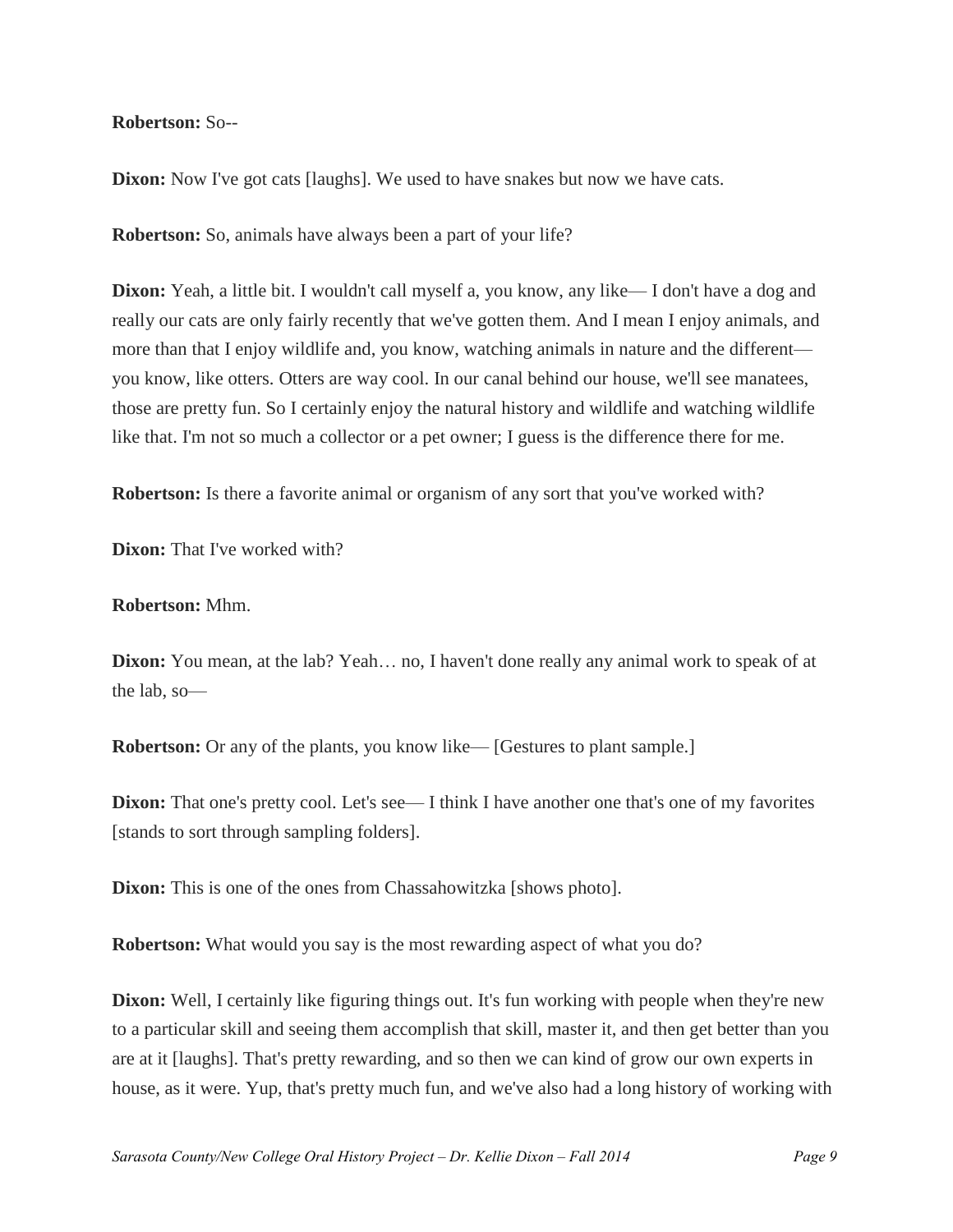#### **Robertson:** So--

**Dixon:** Now I've got cats [laughs]. We used to have snakes but now we have cats.

**Robertson:** So, animals have always been a part of your life?

**Dixon:** Yeah, a little bit. I wouldn't call myself a, you know, any like—I don't have a dog and really our cats are only fairly recently that we've gotten them. And I mean I enjoy animals, and more than that I enjoy wildlife and, you know, watching animals in nature and the different you know, like otters. Otters are way cool. In our canal behind our house, we'll see manatees, those are pretty fun. So I certainly enjoy the natural history and wildlife and watching wildlife like that. I'm not so much a collector or a pet owner; I guess is the difference there for me.

**Robertson:** Is there a favorite animal or organism of any sort that you've worked with?

**Dixon:** That I've worked with?

#### **Robertson:** Mhm.

**Dixon:** You mean, at the lab? Yeah... no, I haven't done really any animal work to speak of at the lab, so—

**Robertson:** Or any of the plants, you know like— [Gestures to plant sample.]

**Dixon:** That one's pretty cool. Let's see— I think I have another one that's one of my favorites [stands to sort through sampling folders].

**Dixon:** This is one of the ones from Chassahowitzka [shows photo].

**Robertson:** What would you say is the most rewarding aspect of what you do?

**Dixon:** Well, I certainly like figuring things out. It's fun working with people when they're new to a particular skill and seeing them accomplish that skill, master it, and then get better than you are at it [laughs]. That's pretty rewarding, and so then we can kind of grow our own experts in house, as it were. Yup, that's pretty much fun, and we've also had a long history of working with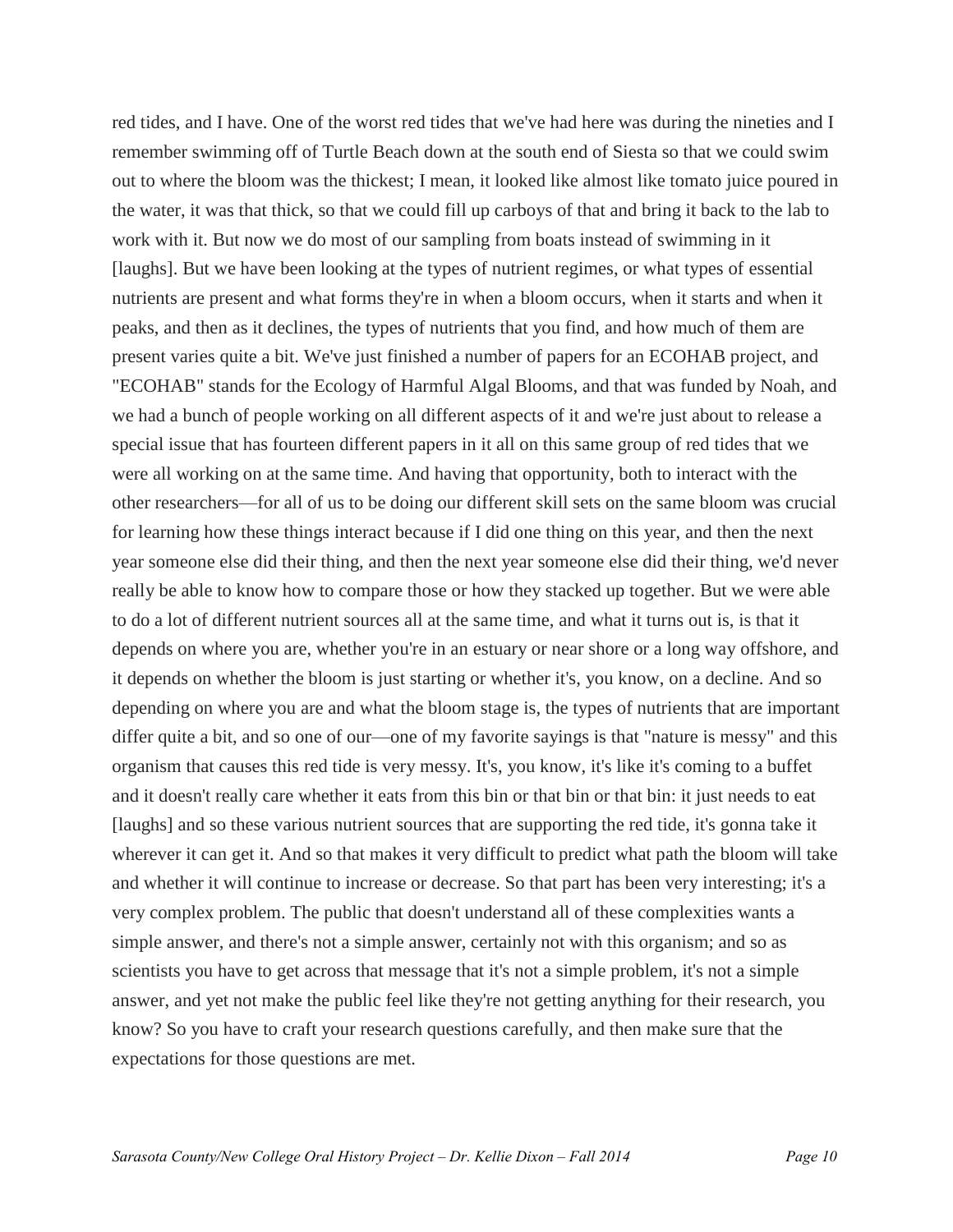red tides, and I have. One of the worst red tides that we've had here was during the nineties and I remember swimming off of Turtle Beach down at the south end of Siesta so that we could swim out to where the bloom was the thickest; I mean, it looked like almost like tomato juice poured in the water, it was that thick, so that we could fill up carboys of that and bring it back to the lab to work with it. But now we do most of our sampling from boats instead of swimming in it [laughs]. But we have been looking at the types of nutrient regimes, or what types of essential nutrients are present and what forms they're in when a bloom occurs, when it starts and when it peaks, and then as it declines, the types of nutrients that you find, and how much of them are present varies quite a bit. We've just finished a number of papers for an ECOHAB project, and "ECOHAB" stands for the Ecology of Harmful Algal Blooms, and that was funded by Noah, and we had a bunch of people working on all different aspects of it and we're just about to release a special issue that has fourteen different papers in it all on this same group of red tides that we were all working on at the same time. And having that opportunity, both to interact with the other researchers—for all of us to be doing our different skill sets on the same bloom was crucial for learning how these things interact because if I did one thing on this year, and then the next year someone else did their thing, and then the next year someone else did their thing, we'd never really be able to know how to compare those or how they stacked up together. But we were able to do a lot of different nutrient sources all at the same time, and what it turns out is, is that it depends on where you are, whether you're in an estuary or near shore or a long way offshore, and it depends on whether the bloom is just starting or whether it's, you know, on a decline. And so depending on where you are and what the bloom stage is, the types of nutrients that are important differ quite a bit, and so one of our—one of my favorite sayings is that "nature is messy" and this organism that causes this red tide is very messy. It's, you know, it's like it's coming to a buffet and it doesn't really care whether it eats from this bin or that bin or that bin: it just needs to eat [laughs] and so these various nutrient sources that are supporting the red tide, it's gonna take it wherever it can get it. And so that makes it very difficult to predict what path the bloom will take and whether it will continue to increase or decrease. So that part has been very interesting; it's a very complex problem. The public that doesn't understand all of these complexities wants a simple answer, and there's not a simple answer, certainly not with this organism; and so as scientists you have to get across that message that it's not a simple problem, it's not a simple answer, and yet not make the public feel like they're not getting anything for their research, you know? So you have to craft your research questions carefully, and then make sure that the expectations for those questions are met.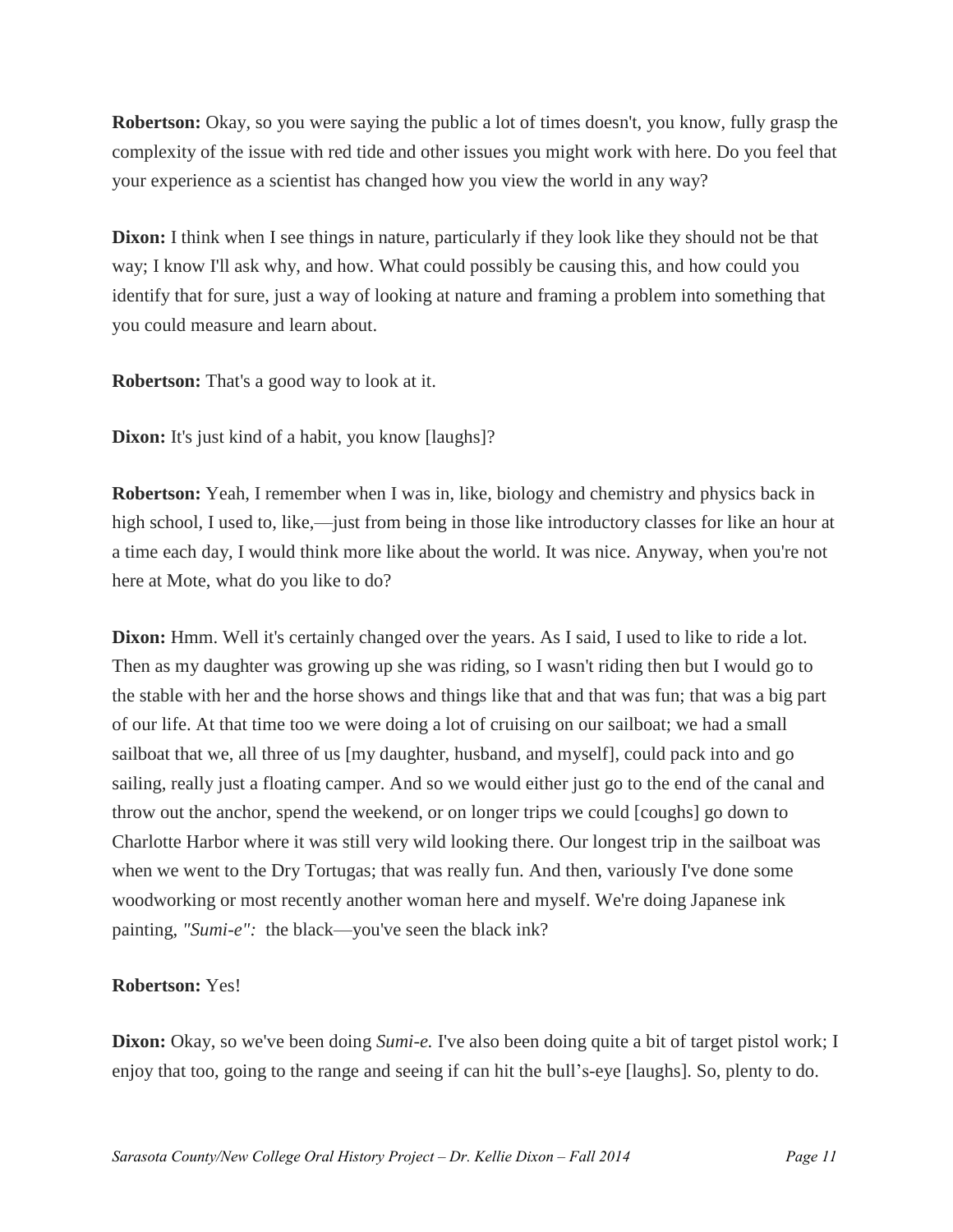**Robertson:** Okay, so you were saying the public a lot of times doesn't, you know, fully grasp the complexity of the issue with red tide and other issues you might work with here. Do you feel that your experience as a scientist has changed how you view the world in any way?

**Dixon:** I think when I see things in nature, particularly if they look like they should not be that way; I know I'll ask why, and how. What could possibly be causing this, and how could you identify that for sure, just a way of looking at nature and framing a problem into something that you could measure and learn about.

**Robertson:** That's a good way to look at it.

**Dixon:** It's just kind of a habit, you know [laughs]?

**Robertson:** Yeah, I remember when I was in, like, biology and chemistry and physics back in high school, I used to, like,—just from being in those like introductory classes for like an hour at a time each day, I would think more like about the world. It was nice. Anyway, when you're not here at Mote, what do you like to do?

**Dixon:** Hmm. Well it's certainly changed over the years. As I said, I used to like to ride a lot. Then as my daughter was growing up she was riding, so I wasn't riding then but I would go to the stable with her and the horse shows and things like that and that was fun; that was a big part of our life. At that time too we were doing a lot of cruising on our sailboat; we had a small sailboat that we, all three of us [my daughter, husband, and myself], could pack into and go sailing, really just a floating camper. And so we would either just go to the end of the canal and throw out the anchor, spend the weekend, or on longer trips we could [coughs] go down to Charlotte Harbor where it was still very wild looking there. Our longest trip in the sailboat was when we went to the Dry Tortugas; that was really fun. And then, variously I've done some woodworking or most recently another woman here and myself. We're doing Japanese ink painting, *"Sumi-e":* the black—you've seen the black ink?

### **Robertson:** Yes!

**Dixon:** Okay, so we've been doing *Sumi-e*. I've also been doing quite a bit of target pistol work; I enjoy that too, going to the range and seeing if can hit the bull's-eye [laughs]. So, plenty to do.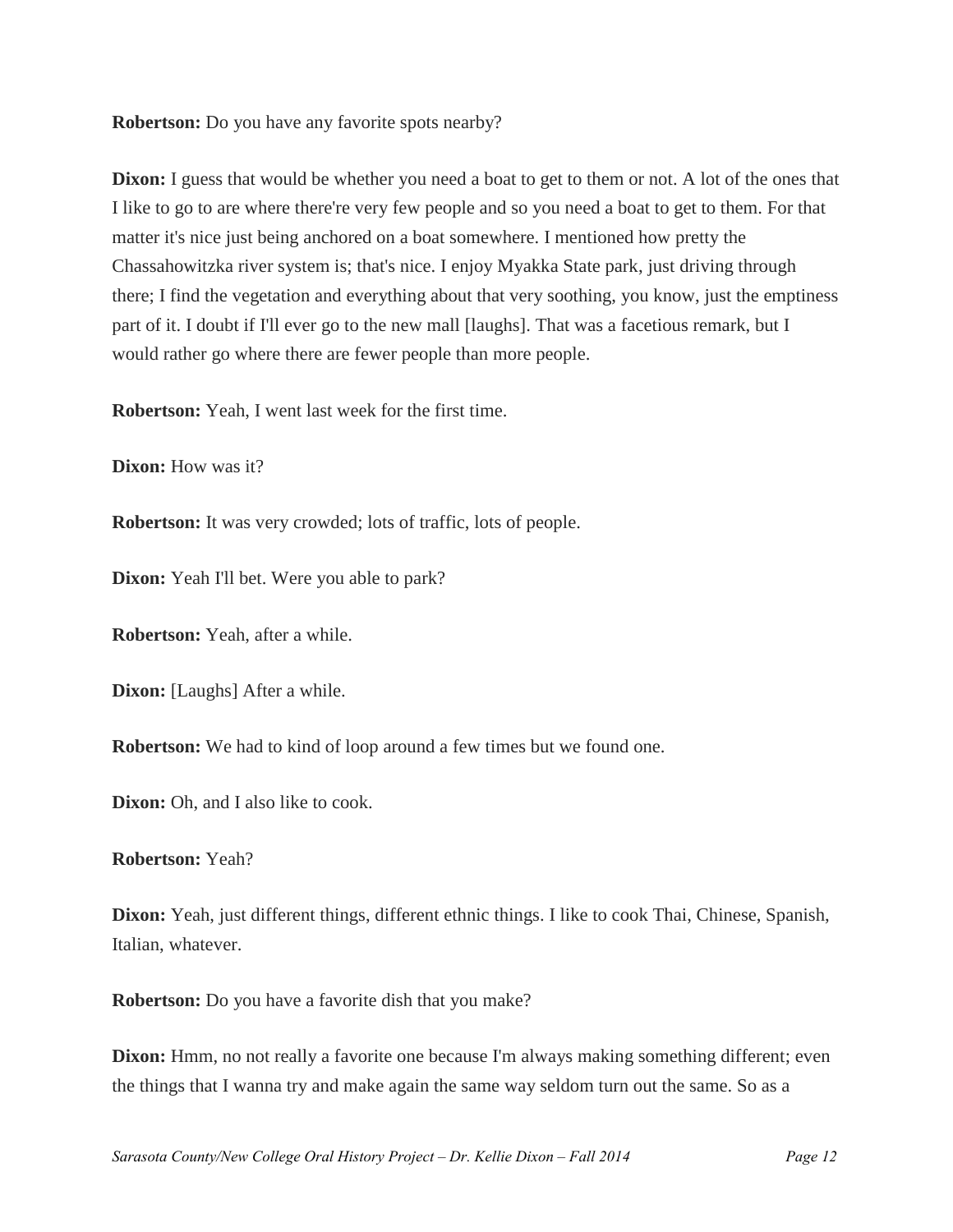**Robertson:** Do you have any favorite spots nearby?

**Dixon:** I guess that would be whether you need a boat to get to them or not. A lot of the ones that I like to go to are where there're very few people and so you need a boat to get to them. For that matter it's nice just being anchored on a boat somewhere. I mentioned how pretty the Chassahowitzka river system is; that's nice. I enjoy Myakka State park, just driving through there; I find the vegetation and everything about that very soothing, you know, just the emptiness part of it. I doubt if I'll ever go to the new mall [laughs]. That was a facetious remark, but I would rather go where there are fewer people than more people.

**Robertson:** Yeah, I went last week for the first time.

**Dixon:** How was it?

**Robertson:** It was very crowded; lots of traffic, lots of people.

**Dixon:** Yeah I'll bet. Were you able to park?

**Robertson:** Yeah, after a while.

**Dixon:** [Laughs] After a while.

**Robertson:** We had to kind of loop around a few times but we found one.

**Dixon:** Oh, and I also like to cook.

**Robertson:** Yeah?

**Dixon:** Yeah, just different things, different ethnic things. I like to cook Thai, Chinese, Spanish, Italian, whatever.

**Robertson:** Do you have a favorite dish that you make?

**Dixon:** Hmm, no not really a favorite one because I'm always making something different; even the things that I wanna try and make again the same way seldom turn out the same. So as a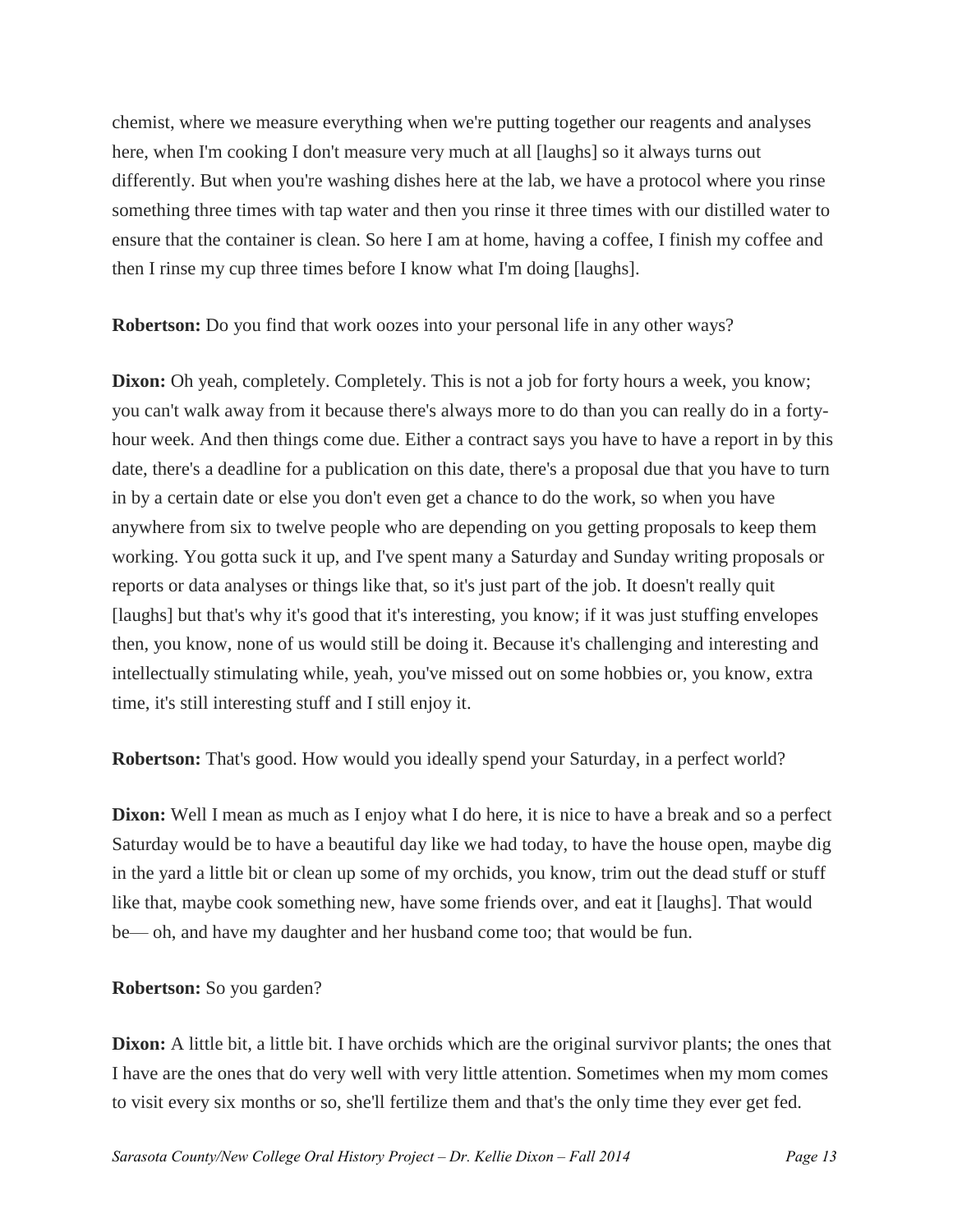chemist, where we measure everything when we're putting together our reagents and analyses here, when I'm cooking I don't measure very much at all [laughs] so it always turns out differently. But when you're washing dishes here at the lab, we have a protocol where you rinse something three times with tap water and then you rinse it three times with our distilled water to ensure that the container is clean. So here I am at home, having a coffee, I finish my coffee and then I rinse my cup three times before I know what I'm doing [laughs].

**Robertson:** Do you find that work oozes into your personal life in any other ways?

**Dixon:** Oh yeah, completely. Completely. This is not a job for forty hours a week, you know; you can't walk away from it because there's always more to do than you can really do in a fortyhour week. And then things come due. Either a contract says you have to have a report in by this date, there's a deadline for a publication on this date, there's a proposal due that you have to turn in by a certain date or else you don't even get a chance to do the work, so when you have anywhere from six to twelve people who are depending on you getting proposals to keep them working. You gotta suck it up, and I've spent many a Saturday and Sunday writing proposals or reports or data analyses or things like that, so it's just part of the job. It doesn't really quit [laughs] but that's why it's good that it's interesting, you know; if it was just stuffing envelopes then, you know, none of us would still be doing it. Because it's challenging and interesting and intellectually stimulating while, yeah, you've missed out on some hobbies or, you know, extra time, it's still interesting stuff and I still enjoy it.

**Robertson:** That's good. How would you ideally spend your Saturday, in a perfect world?

**Dixon:** Well I mean as much as I enjoy what I do here, it is nice to have a break and so a perfect Saturday would be to have a beautiful day like we had today, to have the house open, maybe dig in the yard a little bit or clean up some of my orchids, you know, trim out the dead stuff or stuff like that, maybe cook something new, have some friends over, and eat it [laughs]. That would be— oh, and have my daughter and her husband come too; that would be fun.

# **Robertson:** So you garden?

**Dixon:** A little bit, a little bit. I have orchids which are the original survivor plants; the ones that I have are the ones that do very well with very little attention. Sometimes when my mom comes to visit every six months or so, she'll fertilize them and that's the only time they ever get fed.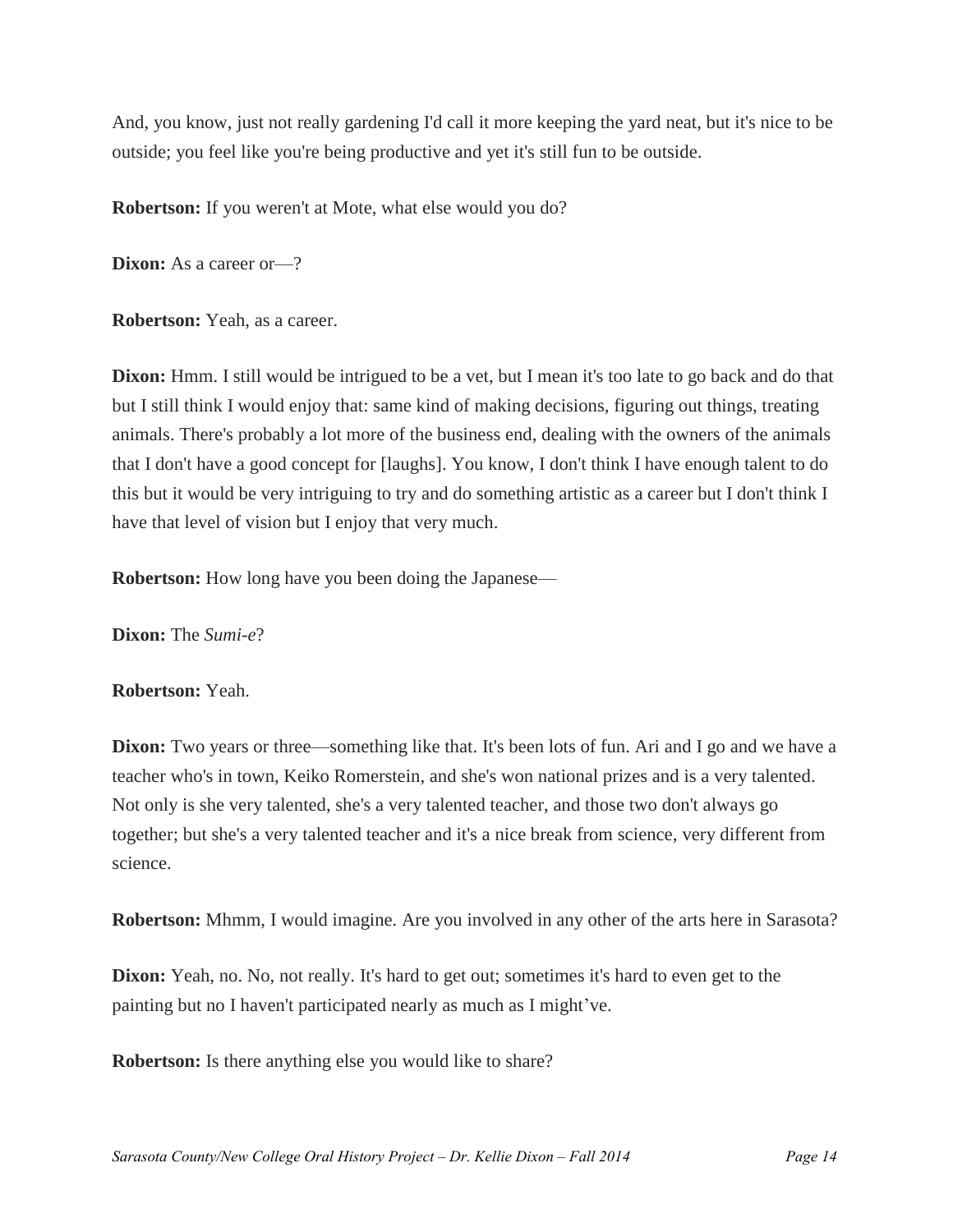And, you know, just not really gardening I'd call it more keeping the yard neat, but it's nice to be outside; you feel like you're being productive and yet it's still fun to be outside.

**Robertson:** If you weren't at Mote, what else would you do?

**Dixon:** As a career or—?

**Robertson:** Yeah, as a career.

**Dixon:** Hmm. I still would be intrigued to be a vet, but I mean it's too late to go back and do that but I still think I would enjoy that: same kind of making decisions, figuring out things, treating animals. There's probably a lot more of the business end, dealing with the owners of the animals that I don't have a good concept for [laughs]. You know, I don't think I have enough talent to do this but it would be very intriguing to try and do something artistic as a career but I don't think I have that level of vision but I enjoy that very much.

**Robertson:** How long have you been doing the Japanese—

**Dixon:** The *Sumi-e*?

**Robertson:** Yeah.

**Dixon:** Two years or three—something like that. It's been lots of fun. Ari and I go and we have a teacher who's in town, Keiko Romerstein, and she's won national prizes and is a very talented. Not only is she very talented, she's a very talented teacher, and those two don't always go together; but she's a very talented teacher and it's a nice break from science, very different from science.

**Robertson:** Mhmm, I would imagine. Are you involved in any other of the arts here in Sarasota?

**Dixon:** Yeah, no. No, not really. It's hard to get out; sometimes it's hard to even get to the painting but no I haven't participated nearly as much as I might've.

**Robertson:** Is there anything else you would like to share?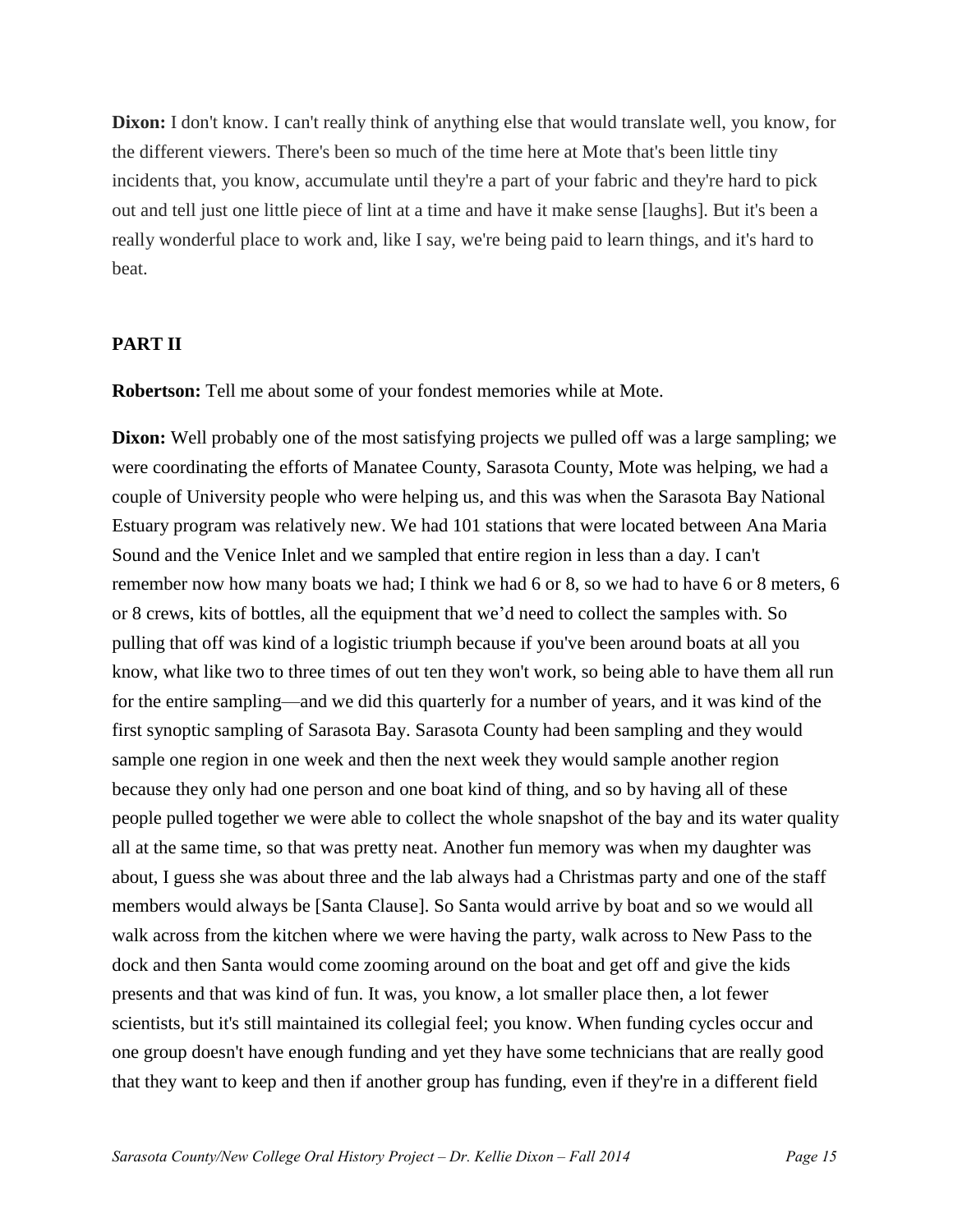**Dixon:** I don't know. I can't really think of anything else that would translate well, you know, for the different viewers. There's been so much of the time here at Mote that's been little tiny incidents that, you know, accumulate until they're a part of your fabric and they're hard to pick out and tell just one little piece of lint at a time and have it make sense [laughs]. But it's been a really wonderful place to work and, like I say, we're being paid to learn things, and it's hard to beat.

### **PART II**

**Robertson:** Tell me about some of your fondest memories while at Mote.

**Dixon:** Well probably one of the most satisfying projects we pulled off was a large sampling; we were coordinating the efforts of Manatee County, Sarasota County, Mote was helping, we had a couple of University people who were helping us, and this was when the Sarasota Bay National Estuary program was relatively new. We had 101 stations that were located between Ana Maria Sound and the Venice Inlet and we sampled that entire region in less than a day. I can't remember now how many boats we had; I think we had 6 or 8, so we had to have 6 or 8 meters, 6 or 8 crews, kits of bottles, all the equipment that we'd need to collect the samples with. So pulling that off was kind of a logistic triumph because if you've been around boats at all you know, what like two to three times of out ten they won't work, so being able to have them all run for the entire sampling—and we did this quarterly for a number of years, and it was kind of the first synoptic sampling of Sarasota Bay. Sarasota County had been sampling and they would sample one region in one week and then the next week they would sample another region because they only had one person and one boat kind of thing, and so by having all of these people pulled together we were able to collect the whole snapshot of the bay and its water quality all at the same time, so that was pretty neat. Another fun memory was when my daughter was about, I guess she was about three and the lab always had a Christmas party and one of the staff members would always be [Santa Clause]. So Santa would arrive by boat and so we would all walk across from the kitchen where we were having the party, walk across to New Pass to the dock and then Santa would come zooming around on the boat and get off and give the kids presents and that was kind of fun. It was, you know, a lot smaller place then, a lot fewer scientists, but it's still maintained its collegial feel; you know. When funding cycles occur and one group doesn't have enough funding and yet they have some technicians that are really good that they want to keep and then if another group has funding, even if they're in a different field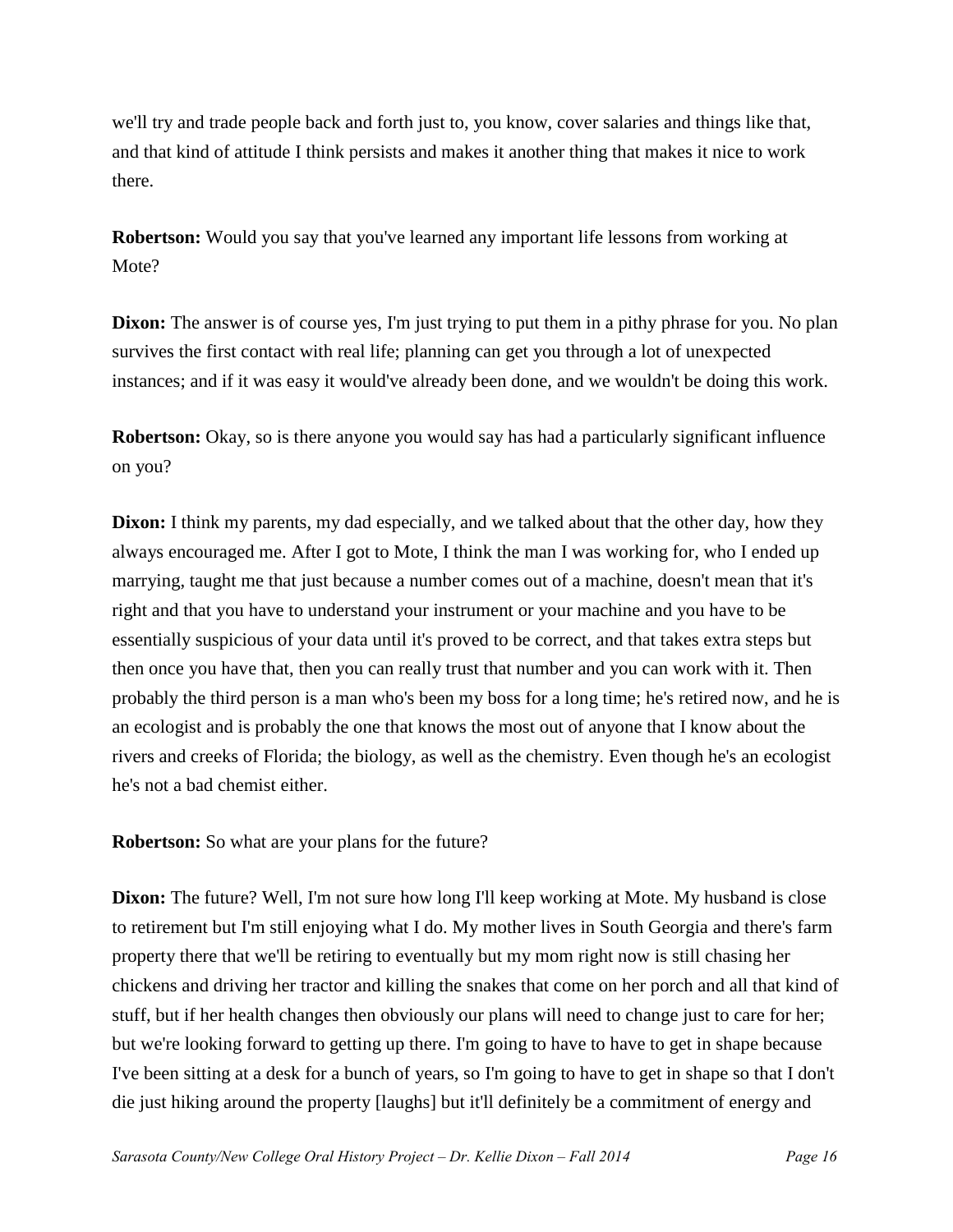we'll try and trade people back and forth just to, you know, cover salaries and things like that, and that kind of attitude I think persists and makes it another thing that makes it nice to work there.

**Robertson:** Would you say that you've learned any important life lessons from working at Mote?

**Dixon:** The answer is of course yes, I'm just trying to put them in a pithy phrase for you. No plan survives the first contact with real life; planning can get you through a lot of unexpected instances; and if it was easy it would've already been done, and we wouldn't be doing this work.

**Robertson:** Okay, so is there anyone you would say has had a particularly significant influence on you?

**Dixon:** I think my parents, my dad especially, and we talked about that the other day, how they always encouraged me. After I got to Mote, I think the man I was working for, who I ended up marrying, taught me that just because a number comes out of a machine, doesn't mean that it's right and that you have to understand your instrument or your machine and you have to be essentially suspicious of your data until it's proved to be correct, and that takes extra steps but then once you have that, then you can really trust that number and you can work with it. Then probably the third person is a man who's been my boss for a long time; he's retired now, and he is an ecologist and is probably the one that knows the most out of anyone that I know about the rivers and creeks of Florida; the biology, as well as the chemistry. Even though he's an ecologist he's not a bad chemist either.

**Robertson:** So what are your plans for the future?

**Dixon:** The future? Well, I'm not sure how long I'll keep working at Mote. My husband is close to retirement but I'm still enjoying what I do. My mother lives in South Georgia and there's farm property there that we'll be retiring to eventually but my mom right now is still chasing her chickens and driving her tractor and killing the snakes that come on her porch and all that kind of stuff, but if her health changes then obviously our plans will need to change just to care for her; but we're looking forward to getting up there. I'm going to have to have to get in shape because I've been sitting at a desk for a bunch of years, so I'm going to have to get in shape so that I don't die just hiking around the property [laughs] but it'll definitely be a commitment of energy and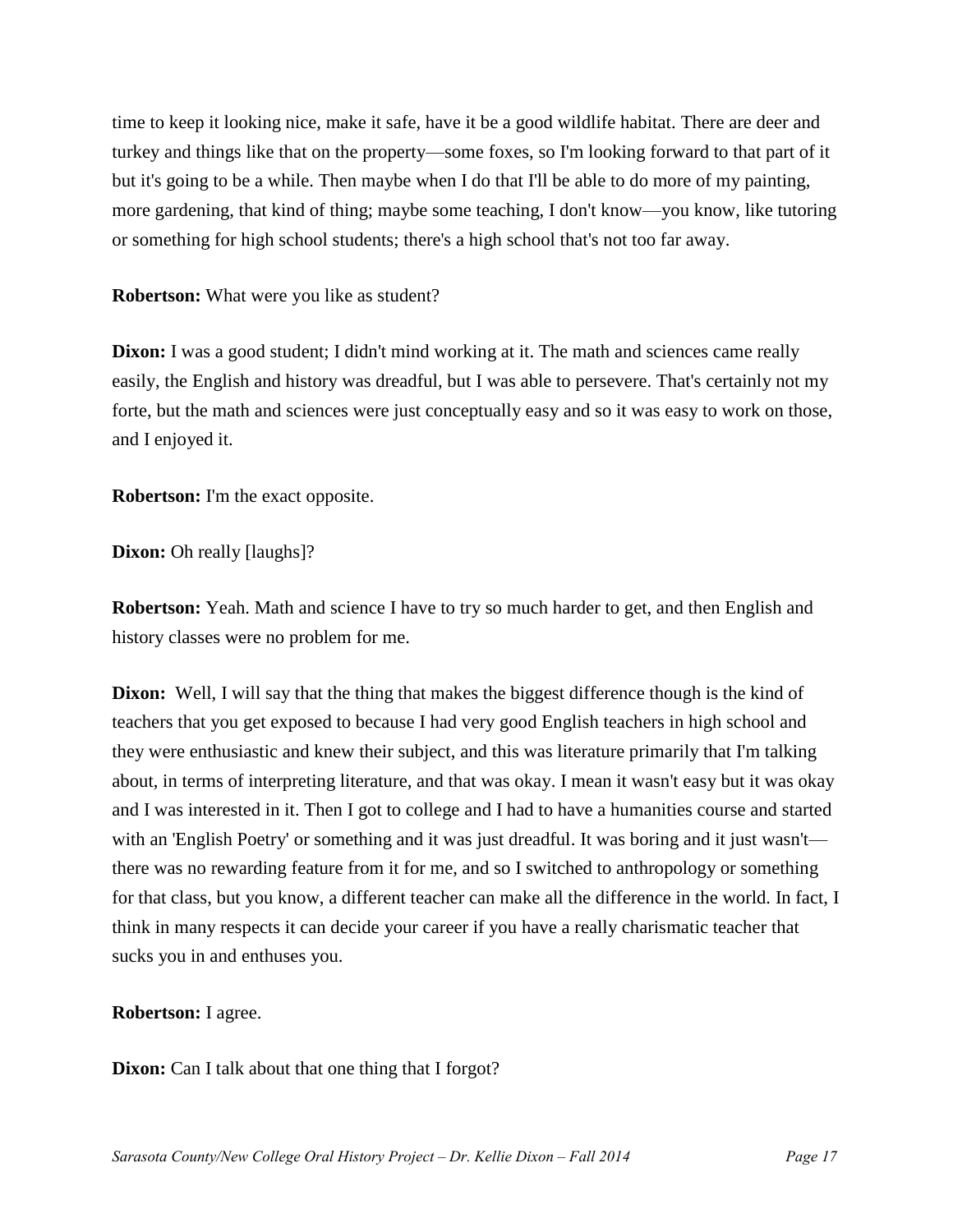time to keep it looking nice, make it safe, have it be a good wildlife habitat. There are deer and turkey and things like that on the property—some foxes, so I'm looking forward to that part of it but it's going to be a while. Then maybe when I do that I'll be able to do more of my painting, more gardening, that kind of thing; maybe some teaching, I don't know—you know, like tutoring or something for high school students; there's a high school that's not too far away.

**Robertson:** What were you like as student?

**Dixon:** I was a good student; I didn't mind working at it. The math and sciences came really easily, the English and history was dreadful, but I was able to persevere. That's certainly not my forte, but the math and sciences were just conceptually easy and so it was easy to work on those, and I enjoyed it.

**Robertson:** I'm the exact opposite.

**Dixon:** Oh really [laughs]?

**Robertson:** Yeah. Math and science I have to try so much harder to get, and then English and history classes were no problem for me.

**Dixon:** Well, I will say that the thing that makes the biggest difference though is the kind of teachers that you get exposed to because I had very good English teachers in high school and they were enthusiastic and knew their subject, and this was literature primarily that I'm talking about, in terms of interpreting literature, and that was okay. I mean it wasn't easy but it was okay and I was interested in it. Then I got to college and I had to have a humanities course and started with an 'English Poetry' or something and it was just dreadful. It was boring and it just wasn't there was no rewarding feature from it for me, and so I switched to anthropology or something for that class, but you know, a different teacher can make all the difference in the world. In fact, I think in many respects it can decide your career if you have a really charismatic teacher that sucks you in and enthuses you.

**Robertson:** I agree.

**Dixon:** Can I talk about that one thing that I forgot?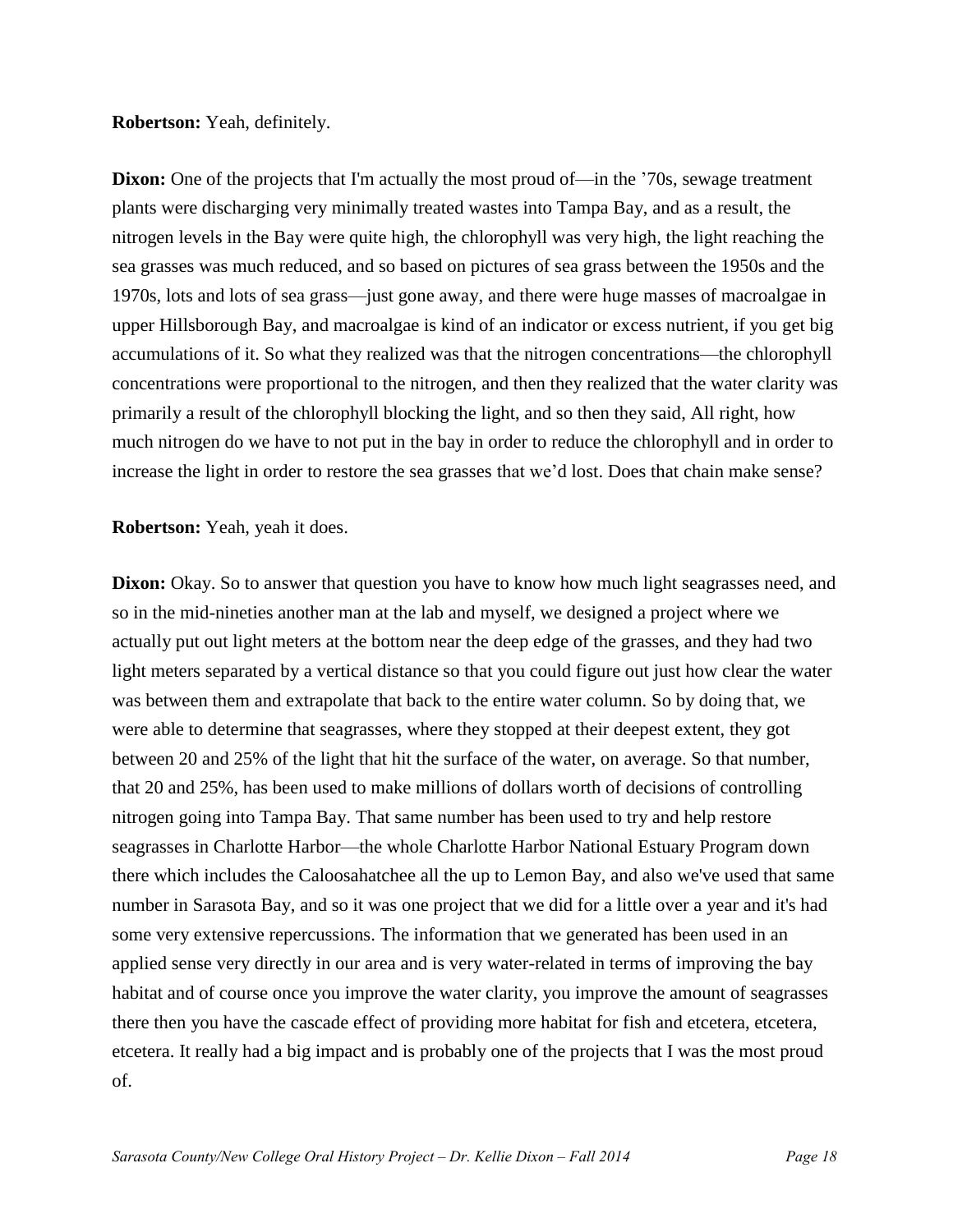#### **Robertson:** Yeah, definitely.

**Dixon:** One of the projects that I'm actually the most proud of—in the '70s, sewage treatment plants were discharging very minimally treated wastes into Tampa Bay, and as a result, the nitrogen levels in the Bay were quite high, the chlorophyll was very high, the light reaching the sea grasses was much reduced, and so based on pictures of sea grass between the 1950s and the 1970s, lots and lots of sea grass—just gone away, and there were huge masses of macroalgae in upper Hillsborough Bay, and macroalgae is kind of an indicator or excess nutrient, if you get big accumulations of it. So what they realized was that the nitrogen concentrations—the chlorophyll concentrations were proportional to the nitrogen, and then they realized that the water clarity was primarily a result of the chlorophyll blocking the light, and so then they said, All right, how much nitrogen do we have to not put in the bay in order to reduce the chlorophyll and in order to increase the light in order to restore the sea grasses that we'd lost. Does that chain make sense?

**Robertson:** Yeah, yeah it does.

**Dixon:** Okay. So to answer that question you have to know how much light seagrasses need, and so in the mid-nineties another man at the lab and myself, we designed a project where we actually put out light meters at the bottom near the deep edge of the grasses, and they had two light meters separated by a vertical distance so that you could figure out just how clear the water was between them and extrapolate that back to the entire water column. So by doing that, we were able to determine that seagrasses, where they stopped at their deepest extent, they got between 20 and 25% of the light that hit the surface of the water, on average. So that number, that 20 and 25%, has been used to make millions of dollars worth of decisions of controlling nitrogen going into Tampa Bay. That same number has been used to try and help restore seagrasses in Charlotte Harbor—the whole Charlotte Harbor National Estuary Program down there which includes the Caloosahatchee all the up to Lemon Bay, and also we've used that same number in Sarasota Bay, and so it was one project that we did for a little over a year and it's had some very extensive repercussions. The information that we generated has been used in an applied sense very directly in our area and is very water-related in terms of improving the bay habitat and of course once you improve the water clarity, you improve the amount of seagrasses there then you have the cascade effect of providing more habitat for fish and etcetera, etcetera, etcetera. It really had a big impact and is probably one of the projects that I was the most proud of.